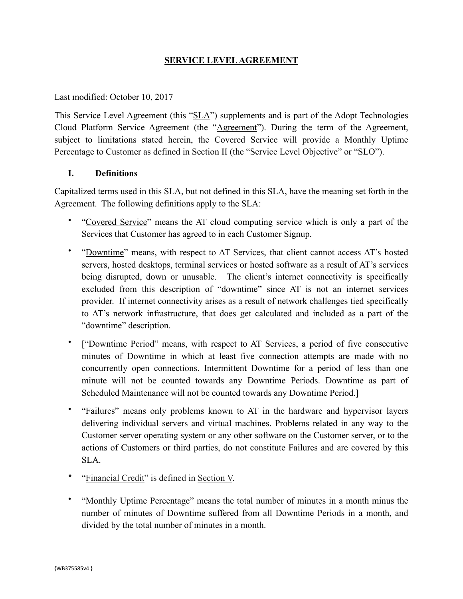### **SERVICE LEVEL AGREEMENT**

#### Last modified: October 10, 2017

This Service Level Agreement (this "SLA") supplements and is part of the Adopt Technologies Cloud Platform Service Agreement (the "Agreement"). During the term of the Agreement, subject to limitations stated herein, the Covered Service will provide a Monthly Uptime Percentage to Customer as defined in <u>Section II</u> (the "Service Level Objective" or "SLO").

#### **I. Definitions**

Capitalized terms used in this SLA, but not defined in this SLA, have the meaning set forth in the Agreement. The following definitions apply to the SLA:

- "Covered Service" means the AT cloud computing service which is only a part of the Services that Customer has agreed to in each Customer Signup.
- "Downtime" means, with respect to AT Services, that client cannot access AT's hosted servers, hosted desktops, terminal services or hosted software as a result of AT's services being disrupted, down or unusable. The client's internet connectivity is specifically excluded from this description of "downtime" since AT is not an internet services provider. If internet connectivity arises as a result of network challenges tied specifically to AT's network infrastructure, that does get calculated and included as a part of the "downtime" description.
- ["Downtime Period" means, with respect to AT Services, a period of five consecutive minutes of Downtime in which at least five connection attempts are made with no concurrently open connections. Intermittent Downtime for a period of less than one minute will not be counted towards any Downtime Periods. Downtime as part of Scheduled Maintenance will not be counted towards any Downtime Period.]
- "Failures" means only problems known to AT in the hardware and hypervisor layers delivering individual servers and virtual machines. Problems related in any way to the Customer server operating system or any other software on the Customer server, or to the actions of Customers or third parties, do not constitute Failures and are covered by this SLA.
- "Financial Credit" is defined in Section V.
- "Monthly Uptime Percentage" means the total number of minutes in a month minus the number of minutes of Downtime suffered from all Downtime Periods in a month, and divided by the total number of minutes in a month.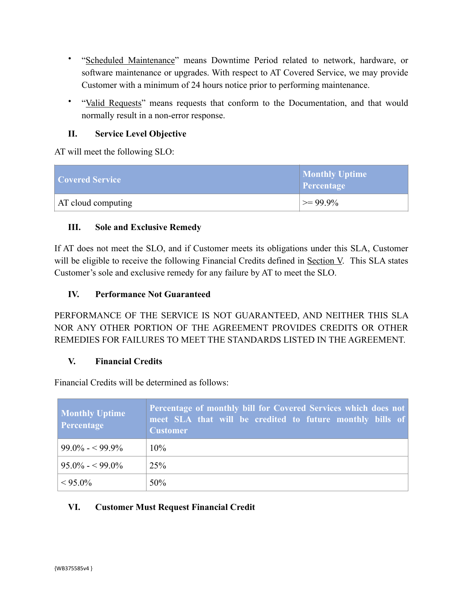- "Scheduled Maintenance" means Downtime Period related to network, hardware, or software maintenance or upgrades. With respect to AT Covered Service, we may provide Customer with a minimum of 24 hours notice prior to performing maintenance.
- "Valid Requests" means requests that conform to the Documentation, and that would normally result in a non-error response.

# **II. Service Level Objective**

AT will meet the following SLO:

| Covered Service    | <b>Monthly Uptime</b><br>Percentage |
|--------------------|-------------------------------------|
| AT cloud computing | $\geq$ 99.9%                        |

## **III. Sole and Exclusive Remedy**

If AT does not meet the SLO, and if Customer meets its obligations under this SLA, Customer will be eligible to receive the following Financial Credits defined in Section V. This SLA states Customer's sole and exclusive remedy for any failure by AT to meet the SLO.

## **IV. Performance Not Guaranteed**

PERFORMANCE OF THE SERVICE IS NOT GUARANTEED, AND NEITHER THIS SLA NOR ANY OTHER PORTION OF THE AGREEMENT PROVIDES CREDITS OR OTHER REMEDIES FOR FAILURES TO MEET THE STANDARDS LISTED IN THE AGREEMENT.

### **V. Financial Credits**

Financial Credits will be determined as follows:

| <b>Monthly Uptime</b><br><b>Percentage</b> | Percentage of monthly bill for Covered Services which does not<br>meet SLA that will be credited to future monthly bills of<br><b>Customer</b> |
|--------------------------------------------|------------------------------------------------------------------------------------------------------------------------------------------------|
| $99.0\% - 99.9\%$                          | $10\%$                                                                                                                                         |
| $95.0\% - 99.0\%$                          | 25%                                                                                                                                            |
| $< 95.0\%$                                 | 50%                                                                                                                                            |

# **VI. Customer Must Request Financial Credit**